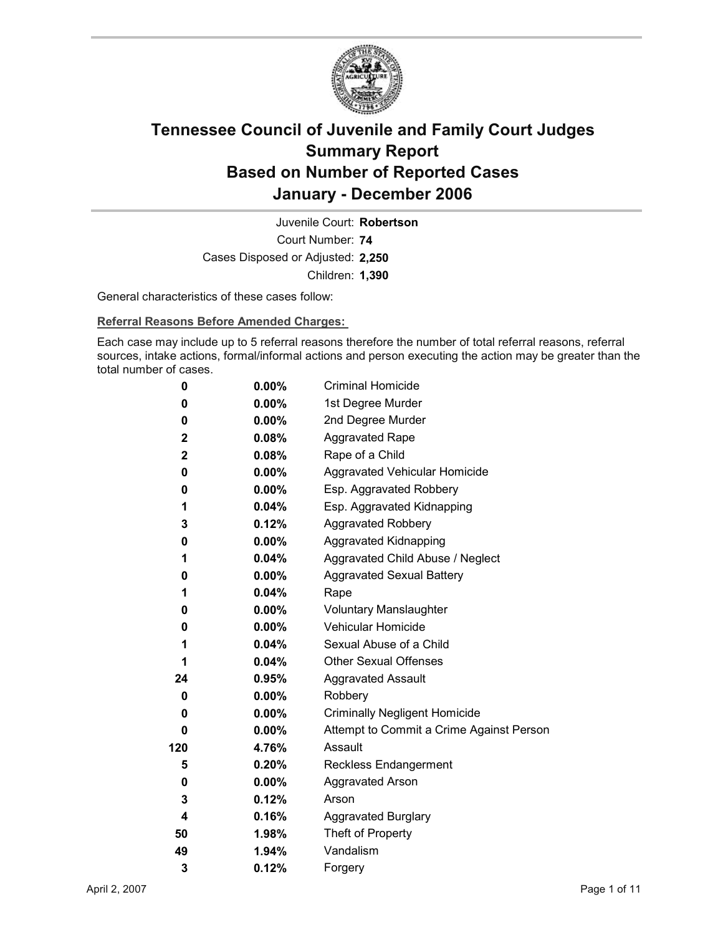

Court Number: **74** Juvenile Court: **Robertson** Cases Disposed or Adjusted: **2,250** Children: **1,390**

General characteristics of these cases follow:

**Referral Reasons Before Amended Charges:** 

Each case may include up to 5 referral reasons therefore the number of total referral reasons, referral sources, intake actions, formal/informal actions and person executing the action may be greater than the total number of cases.

| 0           | $0.00\%$ | <b>Criminal Homicide</b>                 |
|-------------|----------|------------------------------------------|
| 0           | $0.00\%$ | 1st Degree Murder                        |
| 0           | $0.00\%$ | 2nd Degree Murder                        |
| 2           | 0.08%    | <b>Aggravated Rape</b>                   |
| $\mathbf 2$ | $0.08\%$ | Rape of a Child                          |
| 0           | $0.00\%$ | Aggravated Vehicular Homicide            |
| 0           | $0.00\%$ | Esp. Aggravated Robbery                  |
| 1           | 0.04%    | Esp. Aggravated Kidnapping               |
| 3           | 0.12%    | <b>Aggravated Robbery</b>                |
| 0           | $0.00\%$ | <b>Aggravated Kidnapping</b>             |
| 1           | $0.04\%$ | Aggravated Child Abuse / Neglect         |
| 0           | $0.00\%$ | <b>Aggravated Sexual Battery</b>         |
| 1           | 0.04%    | Rape                                     |
| 0           | $0.00\%$ | <b>Voluntary Manslaughter</b>            |
| 0           | $0.00\%$ | <b>Vehicular Homicide</b>                |
| 1           | 0.04%    | Sexual Abuse of a Child                  |
| 1           | $0.04\%$ | <b>Other Sexual Offenses</b>             |
| 24          | 0.95%    | <b>Aggravated Assault</b>                |
| 0           | $0.00\%$ | Robbery                                  |
| 0           | $0.00\%$ | <b>Criminally Negligent Homicide</b>     |
| 0           | $0.00\%$ | Attempt to Commit a Crime Against Person |
| 120         | 4.76%    | Assault                                  |
| 5           | 0.20%    | <b>Reckless Endangerment</b>             |
| 0           | $0.00\%$ | <b>Aggravated Arson</b>                  |
| 3           | 0.12%    | Arson                                    |
| 4           | 0.16%    | <b>Aggravated Burglary</b>               |
| 50          | 1.98%    | Theft of Property                        |
| 49          | 1.94%    | Vandalism                                |
| 3           | 0.12%    | Forgery                                  |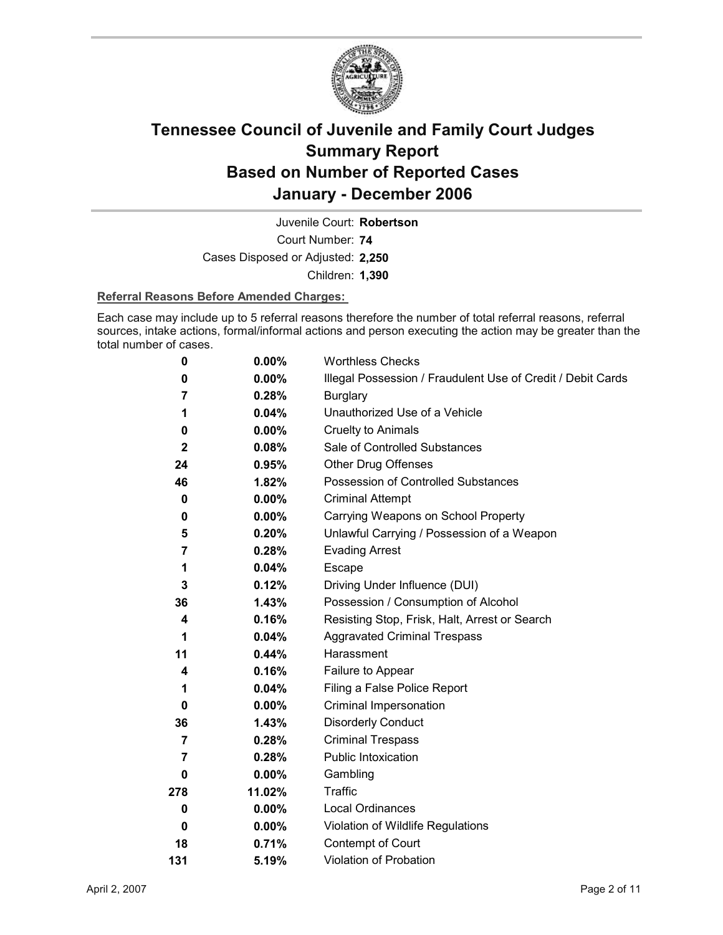

Court Number: **74** Juvenile Court: **Robertson** Cases Disposed or Adjusted: **2,250** Children: **1,390**

### **Referral Reasons Before Amended Charges:**

Each case may include up to 5 referral reasons therefore the number of total referral reasons, referral sources, intake actions, formal/informal actions and person executing the action may be greater than the total number of cases.

| 0                | $0.00\%$ | <b>Worthless Checks</b>                                     |
|------------------|----------|-------------------------------------------------------------|
| 0                | $0.00\%$ | Illegal Possession / Fraudulent Use of Credit / Debit Cards |
| 7                | 0.28%    | <b>Burglary</b>                                             |
| 1                | 0.04%    | Unauthorized Use of a Vehicle                               |
| 0                | $0.00\%$ | <b>Cruelty to Animals</b>                                   |
| $\boldsymbol{2}$ | 0.08%    | Sale of Controlled Substances                               |
| 24               | 0.95%    | <b>Other Drug Offenses</b>                                  |
| 46               | 1.82%    | Possession of Controlled Substances                         |
| 0                | 0.00%    | <b>Criminal Attempt</b>                                     |
| 0                | $0.00\%$ | Carrying Weapons on School Property                         |
| 5                | 0.20%    | Unlawful Carrying / Possession of a Weapon                  |
| 7                | 0.28%    | <b>Evading Arrest</b>                                       |
| 1                | 0.04%    | Escape                                                      |
| 3                | $0.12\%$ | Driving Under Influence (DUI)                               |
| 36               | 1.43%    | Possession / Consumption of Alcohol                         |
| 4                | 0.16%    | Resisting Stop, Frisk, Halt, Arrest or Search               |
| 1                | 0.04%    | <b>Aggravated Criminal Trespass</b>                         |
| 11               | 0.44%    | Harassment                                                  |
| 4                | 0.16%    | Failure to Appear                                           |
| 1                | 0.04%    | Filing a False Police Report                                |
| 0                | $0.00\%$ | Criminal Impersonation                                      |
| 36               | 1.43%    | <b>Disorderly Conduct</b>                                   |
| 7                | 0.28%    | <b>Criminal Trespass</b>                                    |
| 7                | 0.28%    | <b>Public Intoxication</b>                                  |
| 0                | $0.00\%$ | Gambling                                                    |
| 278              | 11.02%   | Traffic                                                     |
| 0                | $0.00\%$ | Local Ordinances                                            |
| 0                | $0.00\%$ | Violation of Wildlife Regulations                           |
| 18               | 0.71%    | Contempt of Court                                           |
| 131              | 5.19%    | Violation of Probation                                      |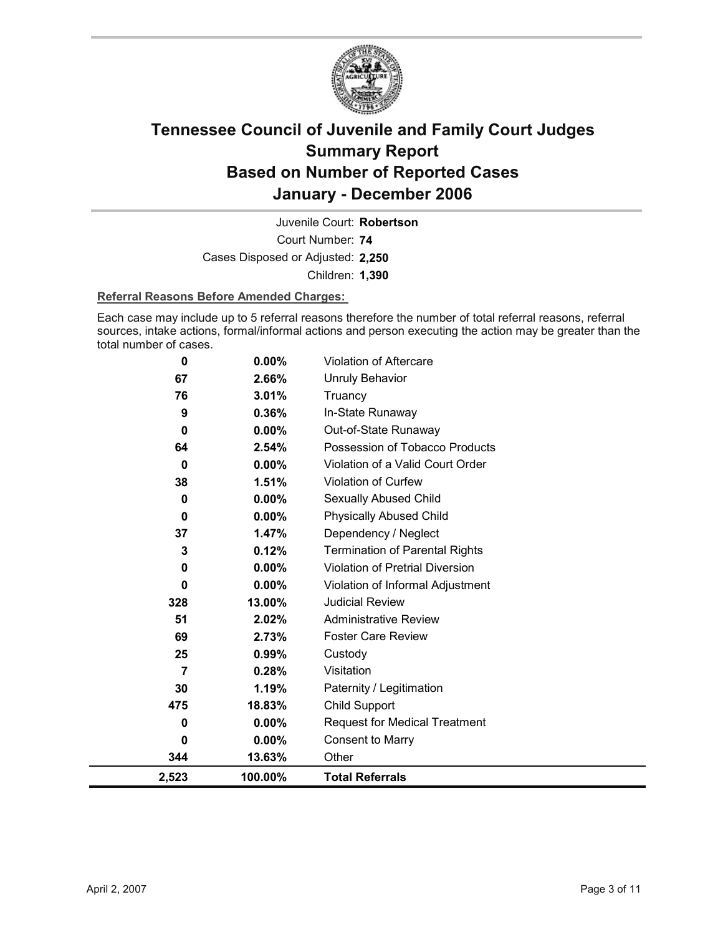

Court Number: **74** Juvenile Court: **Robertson** Cases Disposed or Adjusted: **2,250** Children: **1,390**

### **Referral Reasons Before Amended Charges:**

Each case may include up to 5 referral reasons therefore the number of total referral reasons, referral sources, intake actions, formal/informal actions and person executing the action may be greater than the total number of cases.

| 2,523        | 100.00%  | <b>Total Referrals</b>                |
|--------------|----------|---------------------------------------|
| 344          | 13.63%   | Other                                 |
| $\Omega$     | 0.00%    | <b>Consent to Marry</b>               |
| $\bf{0}$     | $0.00\%$ | <b>Request for Medical Treatment</b>  |
| 475          | 18.83%   | Child Support                         |
| 30           | 1.19%    | Paternity / Legitimation              |
| 7            | 0.28%    | Visitation                            |
| 25           | 0.99%    | Custody                               |
| 69           | 2.73%    | <b>Foster Care Review</b>             |
| 51           | 2.02%    | <b>Administrative Review</b>          |
| 328          | 13.00%   | <b>Judicial Review</b>                |
| $\bf{0}$     | 0.00%    | Violation of Informal Adjustment      |
| $\bf{0}$     | 0.00%    | Violation of Pretrial Diversion       |
| 3            | 0.12%    | <b>Termination of Parental Rights</b> |
| 37           | 1.47%    | Dependency / Neglect                  |
| $\mathbf 0$  | 0.00%    | <b>Physically Abused Child</b>        |
| $\bf{0}$     | 0.00%    | Sexually Abused Child                 |
| 38           | 1.51%    | Violation of Curfew                   |
| $\bf{0}$     | 0.00%    | Violation of a Valid Court Order      |
| 64           | 2.54%    | Possession of Tobacco Products        |
| $\mathbf{0}$ | 0.00%    | Out-of-State Runaway                  |
| 9            | 0.36%    | In-State Runaway                      |
| 76           | 3.01%    | Truancy                               |
| 67           | 2.66%    | <b>Unruly Behavior</b>                |
| $\bf{0}$     | 0.00%    | Violation of Aftercare                |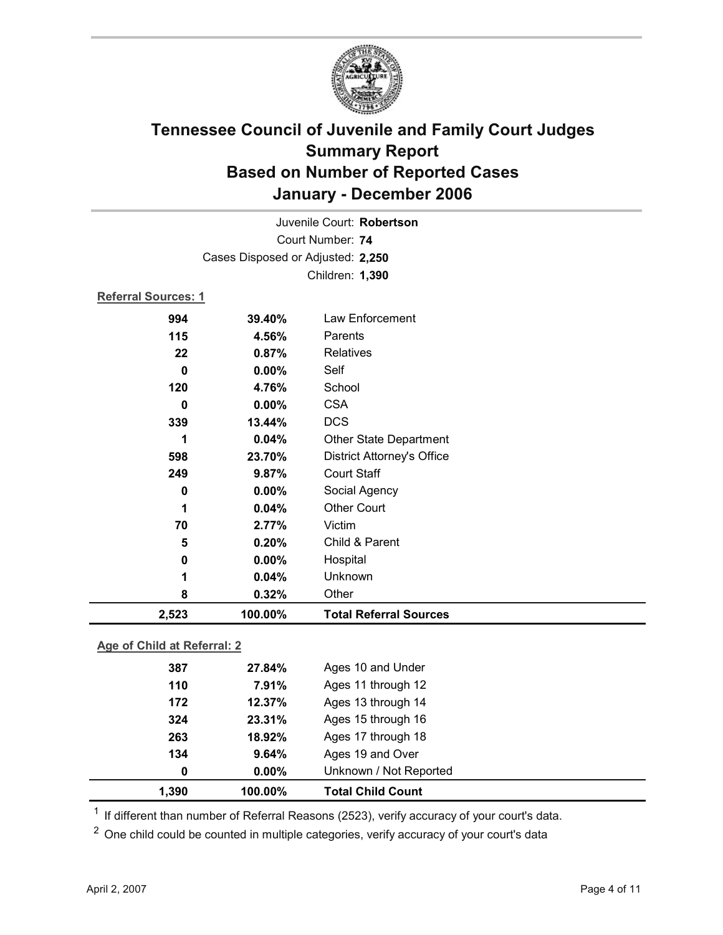

|                                   | Juvenile Court: Robertson |                                   |  |  |
|-----------------------------------|---------------------------|-----------------------------------|--|--|
|                                   | Court Number: 74          |                                   |  |  |
| Cases Disposed or Adjusted: 2,250 |                           |                                   |  |  |
| Children: 1,390                   |                           |                                   |  |  |
| <b>Referral Sources: 1</b>        |                           |                                   |  |  |
| 994                               | 39.40%                    | Law Enforcement                   |  |  |
| 115                               | 4.56%                     | Parents                           |  |  |
| 22                                | 0.87%                     | <b>Relatives</b>                  |  |  |
| 0                                 | 0.00%                     | Self                              |  |  |
| 120                               | 4.76%                     | School                            |  |  |
| 0                                 | 0.00%                     | <b>CSA</b>                        |  |  |
| 339                               | 13.44%                    | <b>DCS</b>                        |  |  |
| 1                                 | 0.04%                     | <b>Other State Department</b>     |  |  |
| 598                               | 23.70%                    | <b>District Attorney's Office</b> |  |  |
| 249                               | 9.87%                     | <b>Court Staff</b>                |  |  |
| 0                                 | 0.00%                     | Social Agency                     |  |  |
| 1                                 | 0.04%                     | <b>Other Court</b>                |  |  |
| 70                                | 2.77%                     | Victim                            |  |  |
| 5                                 | 0.20%                     | Child & Parent                    |  |  |
| 0                                 | 0.00%                     | Hospital                          |  |  |
| 1                                 | 0.04%                     | Unknown                           |  |  |
| 8                                 | 0.32%                     | Other                             |  |  |
| 2,523                             | 100.00%                   | <b>Total Referral Sources</b>     |  |  |

### **Age of Child at Referral: 2**

| 263<br>134<br>0 | 18.92%<br>9.64%<br>$0.00\%$ | Ages 17 through 18<br>Ages 19 and Over<br>Unknown / Not Reported |
|-----------------|-----------------------------|------------------------------------------------------------------|
|                 |                             |                                                                  |
|                 |                             |                                                                  |
|                 |                             |                                                                  |
| 324             | 23.31%                      | Ages 15 through 16                                               |
| 172             | 12.37%                      | Ages 13 through 14                                               |
|                 | 7.91%                       | Ages 11 through 12                                               |
| 110             |                             |                                                                  |
|                 |                             |                                                                  |

 $1$  If different than number of Referral Reasons (2523), verify accuracy of your court's data.

<sup>2</sup> One child could be counted in multiple categories, verify accuracy of your court's data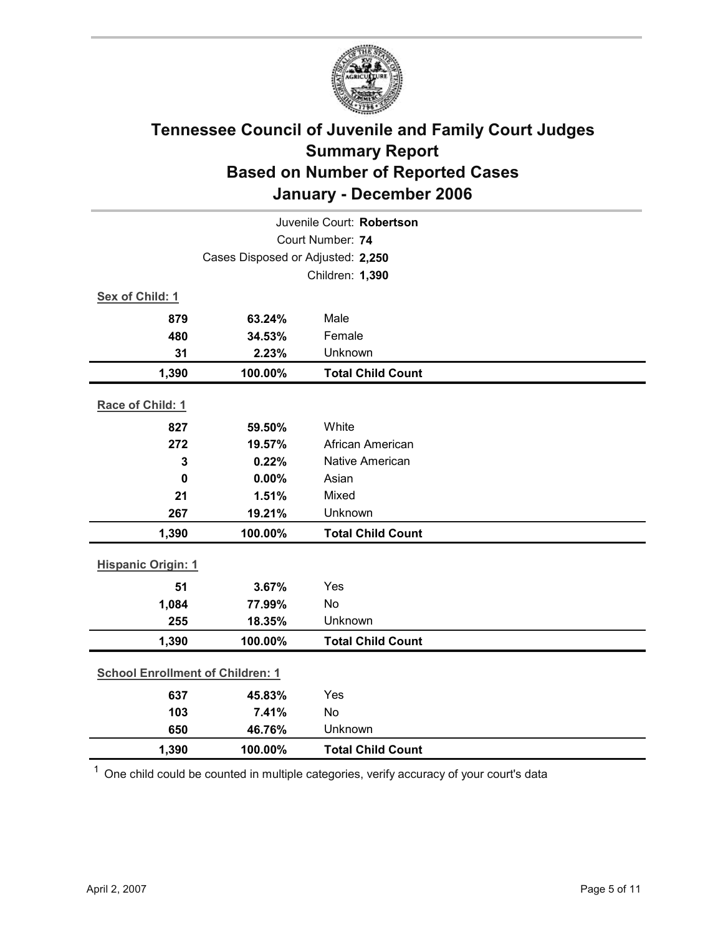

| Juvenile Court: Robertson               |                                   |                          |  |  |
|-----------------------------------------|-----------------------------------|--------------------------|--|--|
|                                         | Court Number: 74                  |                          |  |  |
|                                         | Cases Disposed or Adjusted: 2,250 |                          |  |  |
| Children: 1,390                         |                                   |                          |  |  |
| Sex of Child: 1                         |                                   |                          |  |  |
| 879                                     | 63.24%                            | Male                     |  |  |
| 480                                     | 34.53%                            | Female                   |  |  |
| 31                                      | 2.23%                             | Unknown                  |  |  |
| 1,390                                   | 100.00%                           | <b>Total Child Count</b> |  |  |
| Race of Child: 1                        |                                   |                          |  |  |
| 827                                     | 59.50%                            | White                    |  |  |
| 272                                     | 19.57%                            | African American         |  |  |
| 3                                       | 0.22%                             | <b>Native American</b>   |  |  |
| $\mathbf 0$                             | 0.00%                             | Asian                    |  |  |
| 21                                      | 1.51%                             | Mixed                    |  |  |
| 267                                     | 19.21%                            | Unknown                  |  |  |
| 1,390                                   | 100.00%                           | <b>Total Child Count</b> |  |  |
| <b>Hispanic Origin: 1</b>               |                                   |                          |  |  |
| 51                                      | 3.67%                             | Yes                      |  |  |
| 1,084                                   | 77.99%                            | <b>No</b>                |  |  |
| 255                                     | 18.35%                            | Unknown                  |  |  |
| 1,390                                   | 100.00%                           | <b>Total Child Count</b> |  |  |
| <b>School Enrollment of Children: 1</b> |                                   |                          |  |  |
| 637                                     | 45.83%                            | Yes                      |  |  |
| 103                                     | 7.41%                             | <b>No</b>                |  |  |
| 650                                     | 46.76%                            | Unknown                  |  |  |
| 1,390                                   | 100.00%                           | <b>Total Child Count</b> |  |  |

 $1$  One child could be counted in multiple categories, verify accuracy of your court's data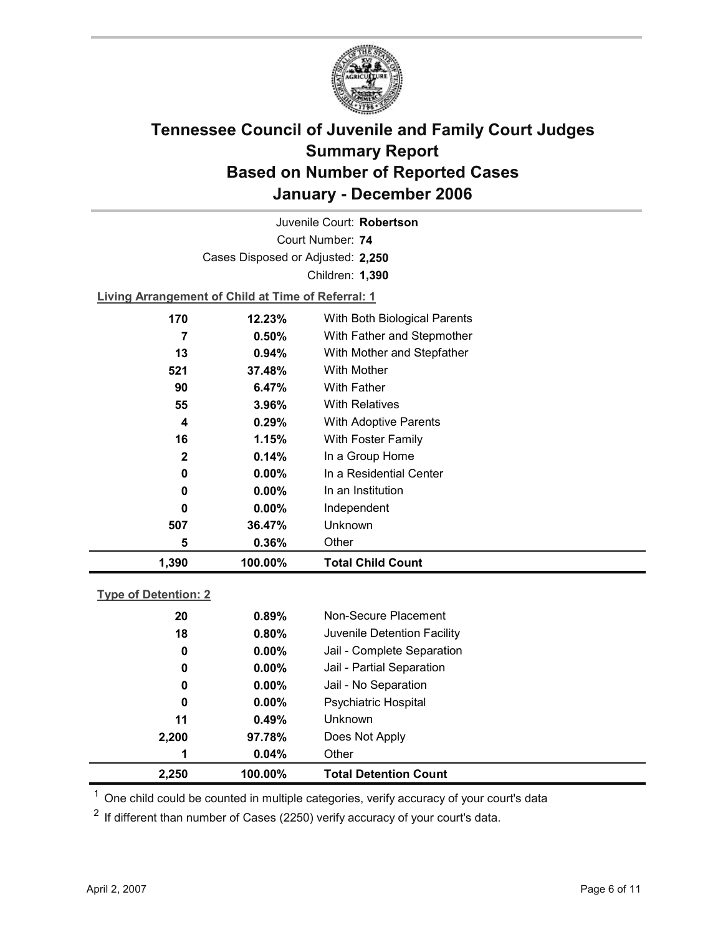

Court Number: **74** Juvenile Court: **Robertson** Cases Disposed or Adjusted: **2,250** Children: **1,390**

**Living Arrangement of Child at Time of Referral: 1**

| 1,390       | 100.00%  | <b>Total Child Count</b>     |
|-------------|----------|------------------------------|
| 5           | 0.36%    | Other                        |
| 507         | 36.47%   | Unknown                      |
| 0           | $0.00\%$ | Independent                  |
| 0           | $0.00\%$ | In an Institution            |
| 0           | $0.00\%$ | In a Residential Center      |
| $\mathbf 2$ | 0.14%    | In a Group Home              |
| 16          | 1.15%    | With Foster Family           |
| 4           | $0.29\%$ | <b>With Adoptive Parents</b> |
| 55          | $3.96\%$ | <b>With Relatives</b>        |
| 90          | 6.47%    | <b>With Father</b>           |
| 521         | 37.48%   | With Mother                  |
| 13          | 0.94%    | With Mother and Stepfather   |
| 7           | $0.50\%$ | With Father and Stepmother   |
| 170         | 12.23%   | With Both Biological Parents |
|             |          |                              |

### **Type of Detention: 2**

| 2,250       | 100.00%  | <b>Total Detention Count</b> |  |
|-------------|----------|------------------------------|--|
| 1           | 0.04%    | Other                        |  |
| 2,200       | 97.78%   | Does Not Apply               |  |
| 11          | 0.49%    | <b>Unknown</b>               |  |
| 0           | $0.00\%$ | <b>Psychiatric Hospital</b>  |  |
| 0           | $0.00\%$ | Jail - No Separation         |  |
| $\mathbf 0$ | $0.00\%$ | Jail - Partial Separation    |  |
| 0           | $0.00\%$ | Jail - Complete Separation   |  |
| 18          | 0.80%    | Juvenile Detention Facility  |  |
| 20          | 0.89%    | Non-Secure Placement         |  |
|             |          |                              |  |

 $<sup>1</sup>$  One child could be counted in multiple categories, verify accuracy of your court's data</sup>

 $2$  If different than number of Cases (2250) verify accuracy of your court's data.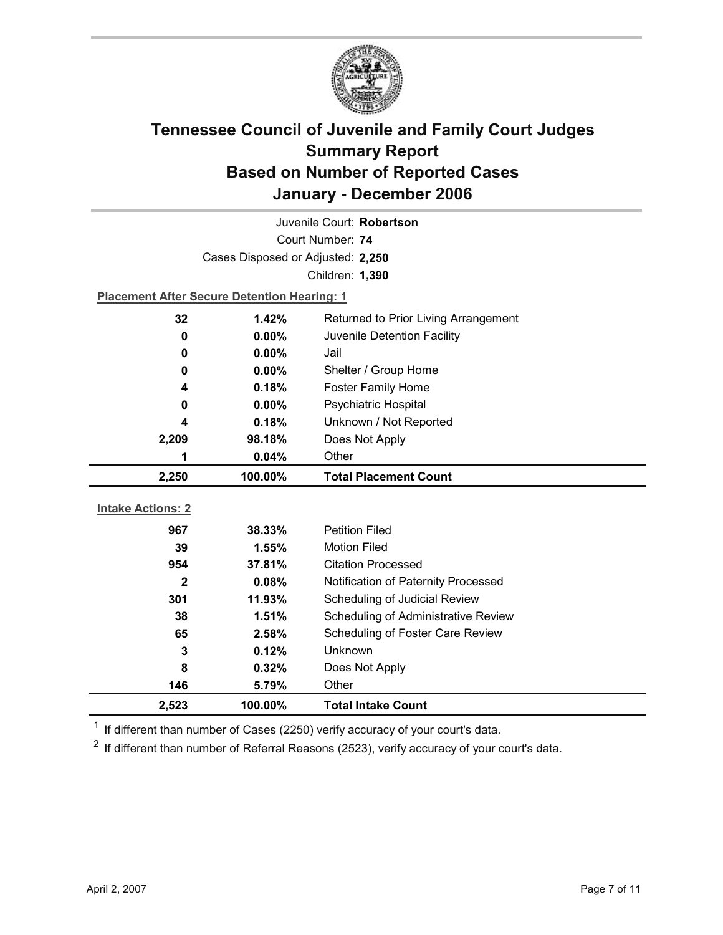

| Juvenile Court: Robertson                          |                                   |                                            |  |  |
|----------------------------------------------------|-----------------------------------|--------------------------------------------|--|--|
|                                                    | Court Number: 74                  |                                            |  |  |
|                                                    | Cases Disposed or Adjusted: 2,250 |                                            |  |  |
| Children: 1,390                                    |                                   |                                            |  |  |
| <b>Placement After Secure Detention Hearing: 1</b> |                                   |                                            |  |  |
| 32                                                 | 1.42%                             | Returned to Prior Living Arrangement       |  |  |
| 0                                                  | 0.00%                             | Juvenile Detention Facility                |  |  |
| 0                                                  | $0.00\%$                          | Jail                                       |  |  |
| 0                                                  | 0.00%                             | Shelter / Group Home                       |  |  |
| 4                                                  | 0.18%                             | <b>Foster Family Home</b>                  |  |  |
| 0                                                  | 0.00%                             | Psychiatric Hospital                       |  |  |
| 4                                                  | 0.18%                             | Unknown / Not Reported                     |  |  |
| 2,209                                              | 98.18%                            | Does Not Apply                             |  |  |
| 1                                                  | 0.04%                             | Other                                      |  |  |
|                                                    |                                   |                                            |  |  |
| 2,250                                              | 100.00%                           | <b>Total Placement Count</b>               |  |  |
|                                                    |                                   |                                            |  |  |
| <b>Intake Actions: 2</b>                           |                                   |                                            |  |  |
| 967                                                | 38.33%                            | <b>Petition Filed</b>                      |  |  |
| 39                                                 | 1.55%                             | <b>Motion Filed</b>                        |  |  |
| 954                                                | 37.81%                            | <b>Citation Processed</b>                  |  |  |
| $\mathbf{2}$                                       | 0.08%                             | Notification of Paternity Processed        |  |  |
| 301                                                | 11.93%                            | Scheduling of Judicial Review              |  |  |
| 38                                                 | 1.51%                             | <b>Scheduling of Administrative Review</b> |  |  |
| 65                                                 | 2.58%                             | Scheduling of Foster Care Review           |  |  |
| 3                                                  | 0.12%                             | Unknown                                    |  |  |
| 8                                                  | 0.32%                             | Does Not Apply                             |  |  |
| 146                                                | 5.79%                             | Other                                      |  |  |

 $1$  If different than number of Cases (2250) verify accuracy of your court's data.

 $2$  If different than number of Referral Reasons (2523), verify accuracy of your court's data.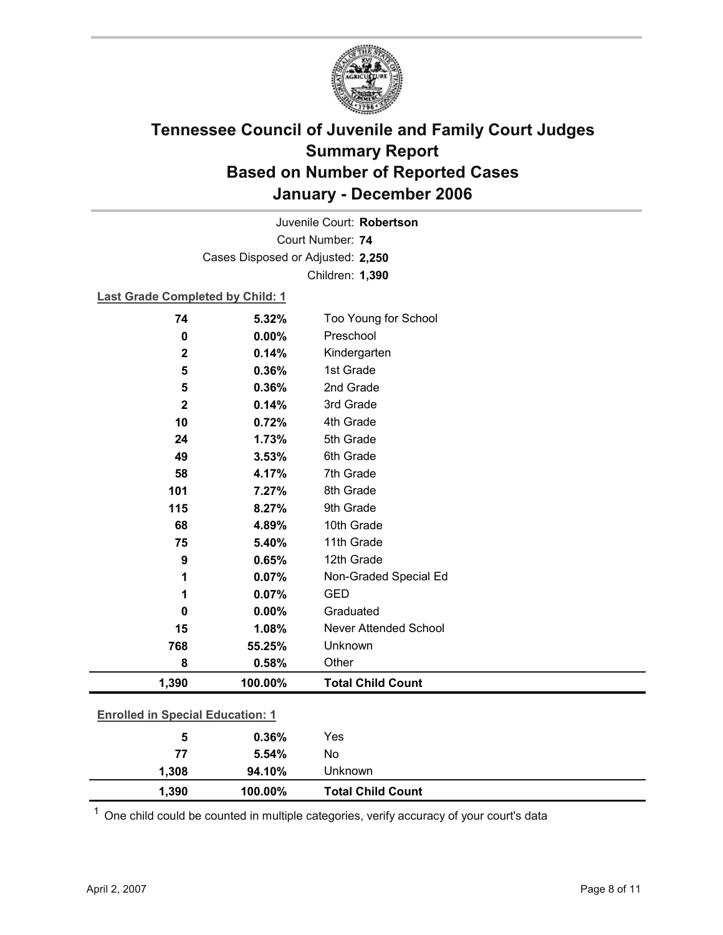

Court Number: **74** Juvenile Court: **Robertson** Cases Disposed or Adjusted: **2,250** Children: **1,390**

### **Last Grade Completed by Child: 1**

| 74                                      | 5.32%   | Too Young for School         |  |
|-----------------------------------------|---------|------------------------------|--|
| $\mathbf 0$                             | 0.00%   | Preschool                    |  |
| $\overline{\mathbf{2}}$                 | 0.14%   | Kindergarten                 |  |
| 5                                       | 0.36%   | 1st Grade                    |  |
| 5                                       | 0.36%   | 2nd Grade                    |  |
| $\mathbf 2$                             | 0.14%   | 3rd Grade                    |  |
| 10                                      | 0.72%   | 4th Grade                    |  |
| 24                                      | 1.73%   | 5th Grade                    |  |
| 49                                      | 3.53%   | 6th Grade                    |  |
| 58                                      | 4.17%   | 7th Grade                    |  |
| 101                                     | 7.27%   | 8th Grade                    |  |
| 115                                     | 8.27%   | 9th Grade                    |  |
| 68                                      | 4.89%   | 10th Grade                   |  |
| 75                                      | 5.40%   | 11th Grade                   |  |
| 9                                       | 0.65%   | 12th Grade                   |  |
| 1                                       | 0.07%   | Non-Graded Special Ed        |  |
| 1                                       | 0.07%   | <b>GED</b>                   |  |
| $\bf{0}$                                | 0.00%   | Graduated                    |  |
| 15                                      | 1.08%   | <b>Never Attended School</b> |  |
| 768                                     | 55.25%  | Unknown                      |  |
| 8                                       | 0.58%   | Other                        |  |
| 1,390                                   | 100.00% | <b>Total Child Count</b>     |  |
|                                         |         |                              |  |
| <b>Enrolled in Special Education: 1</b> |         |                              |  |
| 5                                       | 0.36%   | Yes                          |  |
| 77                                      | 5.54%   | No                           |  |

 $1$  One child could be counted in multiple categories, verify accuracy of your court's data

**1,308 94.10%** Unknown

**1,390 100.00% Total Child Count**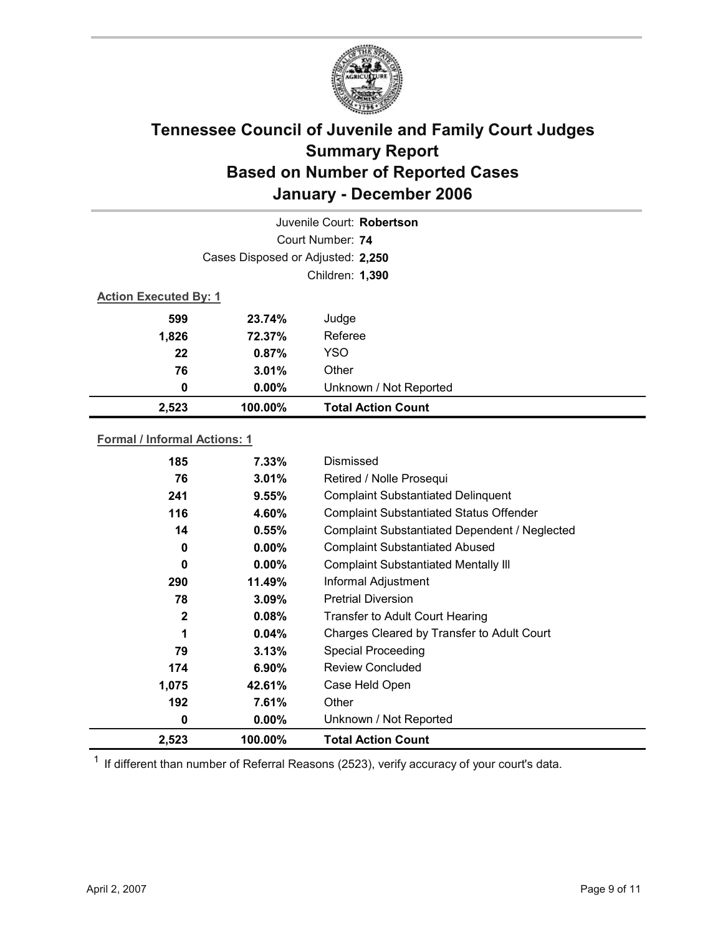

| Juvenile Court: Robertson |                                   |                           |  |  |
|---------------------------|-----------------------------------|---------------------------|--|--|
|                           | Court Number: 74                  |                           |  |  |
|                           | Cases Disposed or Adjusted: 2,250 |                           |  |  |
|                           | Children: 1,390                   |                           |  |  |
|                           | <b>Action Executed By: 1</b>      |                           |  |  |
| 599                       | 23.74%                            | Judge                     |  |  |
| 1,826                     | 72.37%                            | Referee                   |  |  |
| 22                        | 0.87%                             | <b>YSO</b>                |  |  |
| 76                        | 3.01%                             | Other                     |  |  |
| 0                         | $0.00\%$                          | Unknown / Not Reported    |  |  |
| 2,523                     | 100.00%                           | <b>Total Action Count</b> |  |  |

### **Formal / Informal Actions: 1**

| 185          | $7.33\%$ | Dismissed                                      |
|--------------|----------|------------------------------------------------|
| 76           | 3.01%    | Retired / Nolle Prosequi                       |
| 241          | 9.55%    | <b>Complaint Substantiated Delinquent</b>      |
| 116          | 4.60%    | <b>Complaint Substantiated Status Offender</b> |
| 14           | 0.55%    | Complaint Substantiated Dependent / Neglected  |
| 0            | $0.00\%$ | <b>Complaint Substantiated Abused</b>          |
| 0            | $0.00\%$ | <b>Complaint Substantiated Mentally III</b>    |
| 290          | 11.49%   | Informal Adjustment                            |
| 78           | 3.09%    | <b>Pretrial Diversion</b>                      |
| $\mathbf{2}$ | 0.08%    | <b>Transfer to Adult Court Hearing</b>         |
| 1            | 0.04%    | Charges Cleared by Transfer to Adult Court     |
| 79           | 3.13%    | <b>Special Proceeding</b>                      |
| 174          | $6.90\%$ | <b>Review Concluded</b>                        |
| 1,075        | 42.61%   | Case Held Open                                 |
| 192          | 7.61%    | Other                                          |
| 0            | $0.00\%$ | Unknown / Not Reported                         |
| 2,523        | 100.00%  | <b>Total Action Count</b>                      |

 $1$  If different than number of Referral Reasons (2523), verify accuracy of your court's data.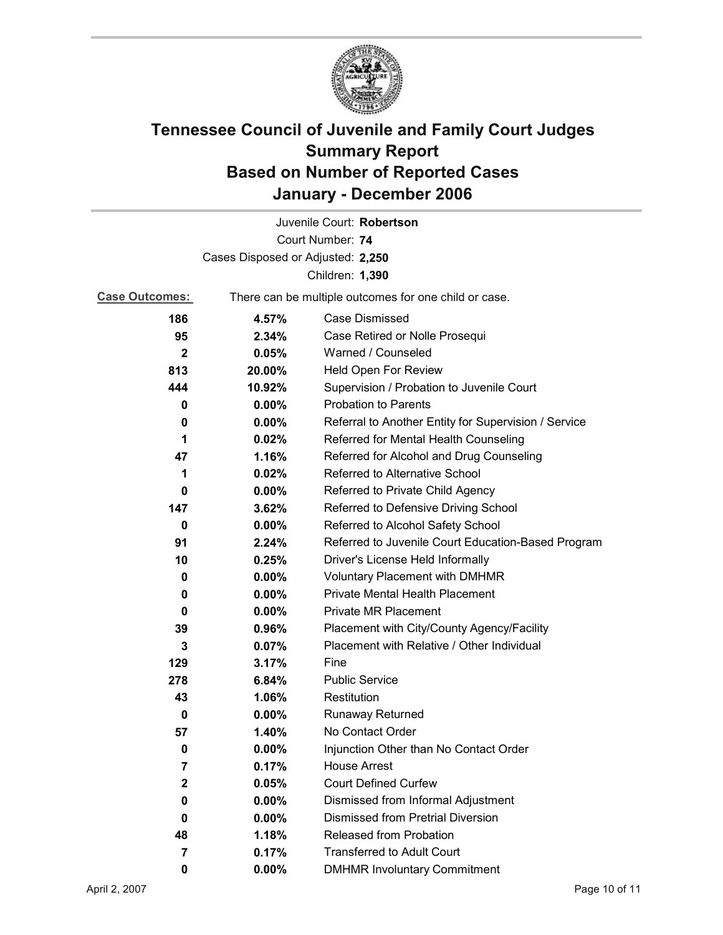

|                                   |                                                       | Juvenile Court: Robertson                            |
|-----------------------------------|-------------------------------------------------------|------------------------------------------------------|
|                                   |                                                       | Court Number: 74                                     |
| Cases Disposed or Adjusted: 2,250 |                                                       |                                                      |
|                                   |                                                       | Children: 1,390                                      |
| <b>Case Outcomes:</b>             | There can be multiple outcomes for one child or case. |                                                      |
| 186                               | 4.57%                                                 | <b>Case Dismissed</b>                                |
| 95                                | 2.34%                                                 | Case Retired or Nolle Prosequi                       |
| $\mathbf{2}$                      | 0.05%                                                 | Warned / Counseled                                   |
| 813                               | 20.00%                                                | Held Open For Review                                 |
| 444                               | 10.92%                                                | Supervision / Probation to Juvenile Court            |
| 0                                 | $0.00\%$                                              | <b>Probation to Parents</b>                          |
| 0                                 | $0.00\%$                                              | Referral to Another Entity for Supervision / Service |
| 1                                 | 0.02%                                                 | Referred for Mental Health Counseling                |
| 47                                | 1.16%                                                 | Referred for Alcohol and Drug Counseling             |
| 1                                 | 0.02%                                                 | Referred to Alternative School                       |
| 0                                 | $0.00\%$                                              | Referred to Private Child Agency                     |
| 147                               | 3.62%                                                 | Referred to Defensive Driving School                 |
| 0                                 | 0.00%                                                 | Referred to Alcohol Safety School                    |
| 91                                | 2.24%                                                 | Referred to Juvenile Court Education-Based Program   |
| 10                                | 0.25%                                                 | Driver's License Held Informally                     |
| 0                                 | $0.00\%$                                              | <b>Voluntary Placement with DMHMR</b>                |
| 0                                 | 0.00%                                                 | Private Mental Health Placement                      |
| 0                                 | $0.00\%$                                              | <b>Private MR Placement</b>                          |
| 39                                | 0.96%                                                 | Placement with City/County Agency/Facility           |
| 3                                 | 0.07%                                                 | Placement with Relative / Other Individual           |
| 129                               | 3.17%                                                 | Fine                                                 |
| 278                               | 6.84%                                                 | <b>Public Service</b>                                |
| 43                                | 1.06%                                                 | Restitution                                          |
| 0                                 | $0.00\%$                                              | <b>Runaway Returned</b>                              |
| 57                                | 1.40%                                                 | No Contact Order                                     |
| 0                                 | 0.00%                                                 | Injunction Other than No Contact Order               |
| 7                                 | 0.17%                                                 | <b>House Arrest</b>                                  |
| 2                                 | 0.05%                                                 | <b>Court Defined Curfew</b>                          |
| 0                                 | 0.00%                                                 | Dismissed from Informal Adjustment                   |
| 0                                 | $0.00\%$                                              | <b>Dismissed from Pretrial Diversion</b>             |
| 48                                | 1.18%                                                 | Released from Probation                              |
| 7                                 | 0.17%                                                 | <b>Transferred to Adult Court</b>                    |
| 0                                 | 0.00%                                                 | <b>DMHMR Involuntary Commitment</b>                  |